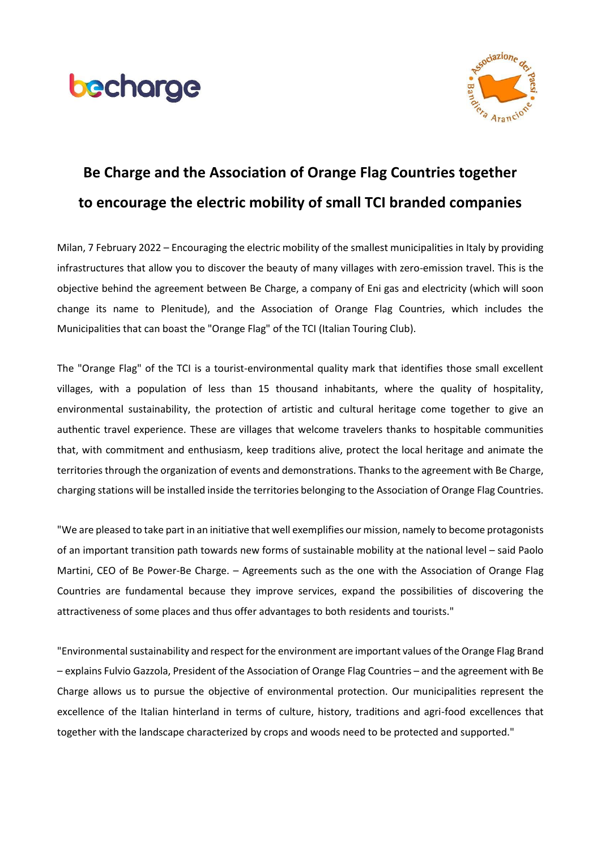



## **Be Charge and the Association of Orange Flag Countries together to encourage the electric mobility of small TCI branded companies**

Milan, 7 February 2022 – Encouraging the electric mobility of the smallest municipalities in Italy by providing infrastructures that allow you to discover the beauty of many villages with zero-emission travel. This is the objective behind the agreement between Be Charge, a company of Eni gas and electricity (which will soon change its name to Plenitude), and the Association of Orange Flag Countries, which includes the Municipalities that can boast the "Orange Flag" of the TCI (Italian Touring Club).

The "Orange Flag" of the TCI is a tourist-environmental quality mark that identifies those small excellent villages, with a population of less than 15 thousand inhabitants, where the quality of hospitality, environmental sustainability, the protection of artistic and cultural heritage come together to give an authentic travel experience. These are villages that welcome travelers thanks to hospitable communities that, with commitment and enthusiasm, keep traditions alive, protect the local heritage and animate the territories through the organization of events and demonstrations. Thanks to the agreement with Be Charge, charging stations will be installed inside the territories belonging to the Association of Orange Flag Countries.

"We are pleased to take part in an initiative that well exemplifies our mission, namely to become protagonists of an important transition path towards new forms of sustainable mobility at the national level – said Paolo Martini, CEO of Be Power-Be Charge. – Agreements such as the one with the Association of Orange Flag Countries are fundamental because they improve services, expand the possibilities of discovering the attractiveness of some places and thus offer advantages to both residents and tourists."

"Environmental sustainability and respect for the environment are important values of the Orange Flag Brand – explains Fulvio Gazzola, President of the Association of Orange Flag Countries – and the agreement with Be Charge allows us to pursue the objective of environmental protection. Our municipalities represent the excellence of the Italian hinterland in terms of culture, history, traditions and agri-food excellences that together with the landscape characterized by crops and woods need to be protected and supported."